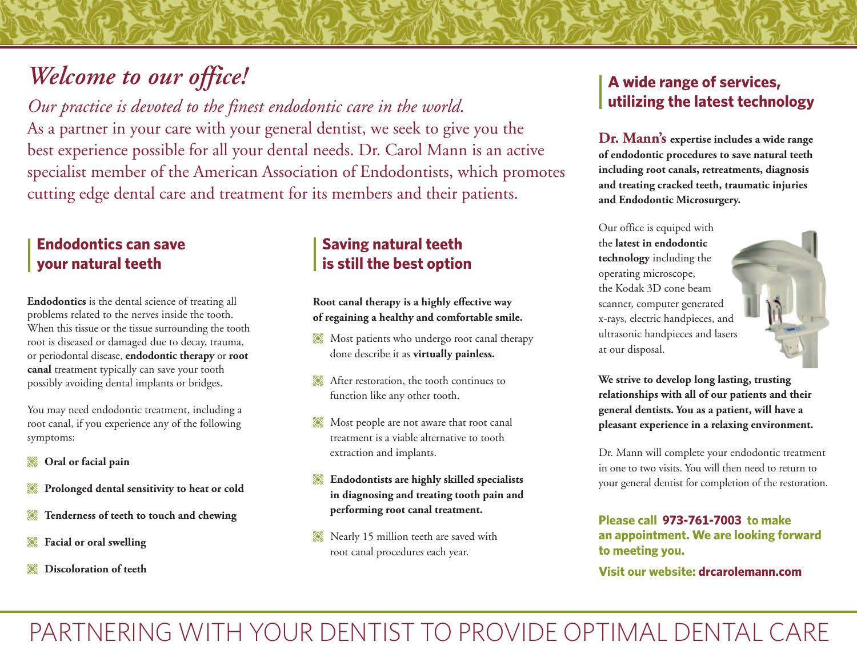# *Welcome to our office!*

*Our practice is devoted to the finest endodontic care in the world.*

As a partner in your care with your general dentist, we seek to give you the best experience possible for all your dental needs. Dr. Carol Mann is an active specialist member of the American Association of Endodontists, which promotes cutting edge dental care and treatment for its members and their patients.

## **Endodontics can save your natural teeth**

**Endodontics** is the dental science of treating all problems related to the nerves inside the tooth. When this tissue or the tissue surrounding the tooth root is diseased or damaged due to decay, trauma, or periodontal disease, **endodontic therapy** or **root canal** treatment typically can save your tooth possibly avoiding dental implants or bridges.

You may need endodontic treatment, including a root canal, if you experience any of the following symptoms:

- **Oral or facial pain**
- **Prolonged dental sensitivity to heat or cold**
- **Tenderness of teeth to touch and chewing**
- **Facial or oral swelling**
- **Discoloration of teeth**

## **Saving natural teeth is still the best option**

**Root canal therapy is a highly effective way of regaining a healthy and comfortable smile.**

- Most patients who undergo root canal therapy done describe it as **virtually painless.**
- After restoration, the tooth continues to function like any other tooth.
- Most people are not aware that root canal treatment is a viable alternative to tooth extraction and implants.
- **Endodontists are highly skilled specialists in diagnosing and treating tooth pain and performing root canal treatment.**
- Nearly 15 million teeth are saved with root canal procedures each year.

# **A wide range of services, utilizing the latest technology**

**Dr. Mann's expertise includes a wide range of endodontic procedures to save natural teeth including root canals, retreatments, diagnosis and treating cracked teeth, traumatic injuries and Endodontic Microsurgery.**

Our office is equiped with the **latest in endodontic technology** including the operating microscope, the Kodak 3D cone beam scanner, computer generated x-rays, electric handpieces, and ultrasonic handpieces and lasers at our disposal.



**We strive to develop long lasting, trusting relationships with all of our patients and their general dentists. You as a patient, will have a pleasant experience in a relaxing environment.**

Dr. Mann will complete your endodontic treatment in one to two visits. You will then need to return to your general dentist for completion of the restoration.

**Please call 973-761-7003 to make an appointment. We are looking forward to meeting you.**

**Visit our website: drcarolemann.com**

PARTNERING WITH YOUR DENTIST TO PROVIDE OPTIMAL DENTAL CARE